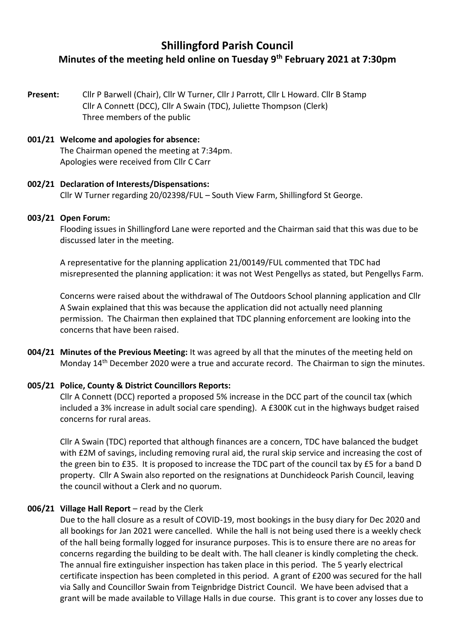# **Shillingford Parish Council Minutes of the meeting held online on Tuesday 9th February 2021 at 7:30pm**

**Present:** Cllr P Barwell (Chair), Cllr W Turner, Cllr J Parrott, Cllr L Howard. Cllr B Stamp Cllr A Connett (DCC), Cllr A Swain (TDC), Juliette Thompson (Clerk) Three members of the public

### **001/21 Welcome and apologies for absence:**

The Chairman opened the meeting at 7:34pm. Apologies were received from Cllr C Carr

#### **002/21 Declaration of Interests/Dispensations:**  Cllr W Turner regarding 20/02398/FUL – South View Farm, Shillingford St George.

#### **003/21 Open Forum:**

Flooding issues in Shillingford Lane were reported and the Chairman said that this was due to be discussed later in the meeting.

A representative for the planning application 21/00149/FUL commented that TDC had misrepresented the planning application: it was not West Pengellys as stated, but Pengellys Farm.

Concerns were raised about the withdrawal of The Outdoors School planning application and Cllr A Swain explained that this was because the application did not actually need planning permission. The Chairman then explained that TDC planning enforcement are looking into the concerns that have been raised.

**004/21 Minutes of the Previous Meeting:** It was agreed by all that the minutes of the meeting held on Monday 14<sup>th</sup> December 2020 were a true and accurate record. The Chairman to sign the minutes.

### **005/21 Police, County & District Councillors Reports:**

Cllr A Connett (DCC) reported a proposed 5% increase in the DCC part of the council tax (which included a 3% increase in adult social care spending). A £300K cut in the highways budget raised concerns for rural areas.

Cllr A Swain (TDC) reported that although finances are a concern, TDC have balanced the budget with £2M of savings, including removing rural aid, the rural skip service and increasing the cost of the green bin to £35. It is proposed to increase the TDC part of the council tax by £5 for a band D property. Cllr A Swain also reported on the resignations at Dunchideock Parish Council, leaving the council without a Clerk and no quorum.

### **006/21 Village Hall Report** – read by the Clerk

Due to the hall closure as a result of COVID-19, most bookings in the busy diary for Dec 2020 and all bookings for Jan 2021 were cancelled. While the hall is not being used there is a weekly check of the hall being formally logged for insurance purposes. This is to ensure there are no areas for concerns regarding the building to be dealt with. The hall cleaner is kindly completing the check. The annual fire extinguisher inspection has taken place in this period. The 5 yearly electrical certificate inspection has been completed in this period. A grant of £200 was secured for the hall via Sally and Councillor Swain from Teignbridge District Council. We have been advised that a grant will be made available to Village Halls in due course. This grant is to cover any losses due to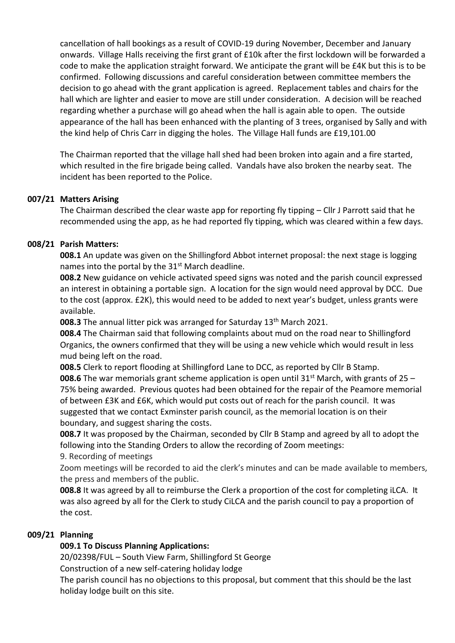cancellation of hall bookings as a result of COVID-19 during November, December and January onwards. Village Halls receiving the first grant of £10k after the first lockdown will be forwarded a code to make the application straight forward. We anticipate the grant will be £4K but this is to be confirmed. Following discussions and careful consideration between committee members the decision to go ahead with the grant application is agreed. Replacement tables and chairs for the hall which are lighter and easier to move are still under consideration. A decision will be reached regarding whether a purchase will go ahead when the hall is again able to open. The outside appearance of the hall has been enhanced with the planting of 3 trees, organised by Sally and with the kind help of Chris Carr in digging the holes. The Village Hall funds are £19,101.00

The Chairman reported that the village hall shed had been broken into again and a fire started, which resulted in the fire brigade being called. Vandals have also broken the nearby seat. The incident has been reported to the Police.

## **007/21 Matters Arising**

The Chairman described the clear waste app for reporting fly tipping – Cllr J Parrott said that he recommended using the app, as he had reported fly tipping, which was cleared within a few days.

### **008/21 Parish Matters:**

**008.1** An update was given on the Shillingford Abbot internet proposal: the next stage is logging names into the portal by the  $31<sup>st</sup>$  March deadline.

**008.2** New guidance on vehicle activated speed signs was noted and the parish council expressed an interest in obtaining a portable sign. A location for the sign would need approval by DCC. Due to the cost (approx. £2K), this would need to be added to next year's budget, unless grants were available.

**008.3** The annual litter pick was arranged for Saturday 13<sup>th</sup> March 2021.

**008.4** The Chairman said that following complaints about mud on the road near to Shillingford Organics, the owners confirmed that they will be using a new vehicle which would result in less mud being left on the road.

**008.5** Clerk to report flooding at Shillingford Lane to DCC, as reported by Cllr B Stamp. **008.6** The war memorials grant scheme application is open until 31<sup>st</sup> March, with grants of 25 – 75% being awarded. Previous quotes had been obtained for the repair of the Peamore memorial of between £3K and £6K, which would put costs out of reach for the parish council. It was suggested that we contact Exminster parish council, as the memorial location is on their boundary, and suggest sharing the costs.

**008.7** It was proposed by the Chairman, seconded by Cllr B Stamp and agreed by all to adopt the following into the Standing Orders to allow the recording of Zoom meetings:

9. Recording of meetings

Zoom meetings will be recorded to aid the clerk's minutes and can be made available to members, the press and members of the public.

**008.8** It was agreed by all to reimburse the Clerk a proportion of the cost for completing iLCA. It was also agreed by all for the Clerk to study CiLCA and the parish council to pay a proportion of the cost.

# **009/21 Planning**

# **009.1 To Discuss Planning Applications:**

20/02398/FUL – South View Farm, Shillingford St George

Construction of a new self-catering holiday lodge

The parish council has no objections to this proposal, but comment that this should be the last holiday lodge built on this site.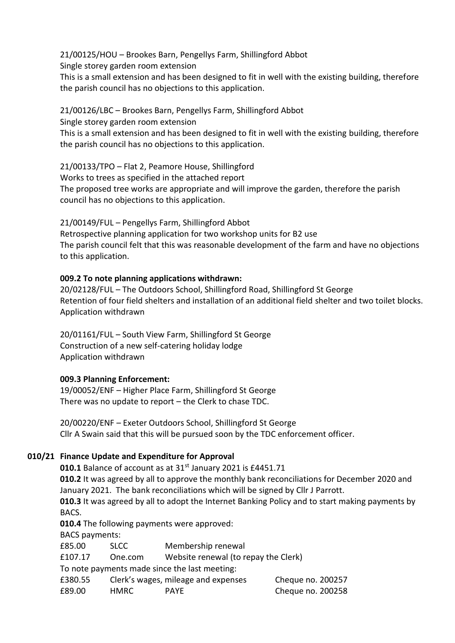21/00125/HOU – Brookes Barn, Pengellys Farm, Shillingford Abbot

Single storey garden room extension

This is a small extension and has been designed to fit in well with the existing building, therefore the parish council has no objections to this application.

21/00126/LBC – Brookes Barn, Pengellys Farm, Shillingford Abbot

Single storey garden room extension

This is a small extension and has been designed to fit in well with the existing building, therefore the parish council has no objections to this application.

21/00133/TPO – Flat 2, Peamore House, Shillingford

Works to trees as specified in the attached report

The proposed tree works are appropriate and will improve the garden, therefore the parish council has no objections to this application.

21/00149/FUL – Pengellys Farm, Shillingford Abbot Retrospective planning application for two workshop units for B2 use The parish council felt that this was reasonable development of the farm and have no objections to this application.

## **009.2 To note planning applications withdrawn:**

20/02128/FUL – The Outdoors School, Shillingford Road, Shillingford St George Retention of four field shelters and installation of an additional field shelter and two toilet blocks. Application withdrawn

20/01161/FUL – South View Farm, Shillingford St George Construction of a new self-catering holiday lodge Application withdrawn

# **009.3 Planning Enforcement:**

19/00052/ENF – Higher Place Farm, Shillingford St George There was no update to report – the Clerk to chase TDC.

20/00220/ENF – Exeter Outdoors School, Shillingford St George Cllr A Swain said that this will be pursued soon by the TDC enforcement officer.

# **010/21 Finance Update and Expenditure for Approval**

**010.1** Balance of account as at 31<sup>st</sup> January 2021 is £4451.71

**010.2** It was agreed by all to approve the monthly bank reconciliations for December 2020 and January 2021. The bank reconciliations which will be signed by Cllr J Parrott.

**010.3** It was agreed by all to adopt the Internet Banking Policy and to start making payments by BACS.

**010.4** The following payments were approved:

BACS payments:

£85.00 SLCC Membership renewal

£107.17 One.com Website renewal (to repay the Clerk)

To note payments made since the last meeting:

| £380.55 |        | Clerk's wages, mileage and expenses | Cheque no. 200257 |
|---------|--------|-------------------------------------|-------------------|
| £89.00  | HMRC . | <b>PAYE</b>                         | Cheque no. 200258 |